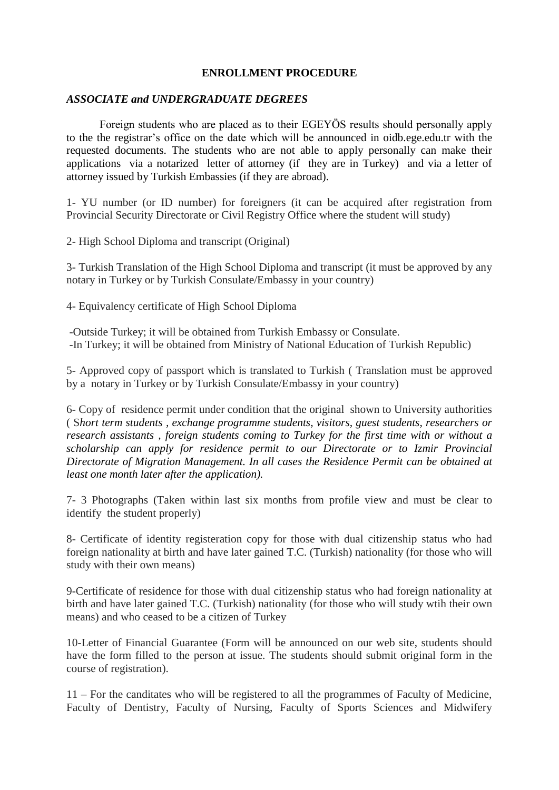## **ENROLLMENT PROCEDURE**

## *ASSOCIATE and UNDERGRADUATE DEGREES*

Foreign students who are placed as to their EGEYÖS results should personally apply to the the registrar's office on the date which will be announced in oidb.ege.edu.tr with the requested documents. The students who are not able to apply personally can make their applications via a notarized letter of attorney (if they are in Turkey) and via a letter of attorney issued by Turkish Embassies (if they are abroad).

1- YU number (or ID number) for foreigners (it can be acquired after registration from Provincial Security Directorate or Civil Registry Office where the student will study)

2- High School Diploma and transcript (Original)

3- Turkish Translation of the High School Diploma and transcript (it must be approved by any notary in Turkey or by Turkish Consulate/Embassy in your country)

4- Equivalency certificate of High School Diploma

-Outside Turkey; it will be obtained from Turkish Embassy or Consulate. -In Turkey; it will be obtained from Ministry of National Education of Turkish Republic)

5- Approved copy of passport which is translated to Turkish ( Translation must be approved by a notary in Turkey or by Turkish Consulate/Embassy in your country)

6- Copy of residence permit under condition that the original shown to University authorities ( S*hort term students , exchange programme students, visitors, guest students, researchers or research assistants , foreign students coming to Turkey for the first time with or without a scholarship can apply for residence permit to our Directorate or to Izmir Provincial Directorate of Migration Management. In all cases the Residence Permit can be obtained at least one month later after the application).*

7- 3 Photographs (Taken within last six months from profile view and must be clear to identify the student properly)

8- Certificate of identity registeration copy for those with dual citizenship status who had foreign nationality at birth and have later gained T.C. (Turkish) nationality (for those who will study with their own means)

9-Certificate of residence for those with dual citizenship status who had foreign nationality at birth and have later gained T.C. (Turkish) nationality (for those who will study wtih their own means) and who ceased to be a citizen of Turkey

10-Letter of Financial Guarantee (Form will be announced on our web site, students should have the form filled to the person at issue. The students should submit original form in the course of registration).

11 – For the canditates who will be registered to all the programmes of Faculty of Medicine, Faculty of Dentistry, Faculty of Nursing, Faculty of Sports Sciences and Midwifery